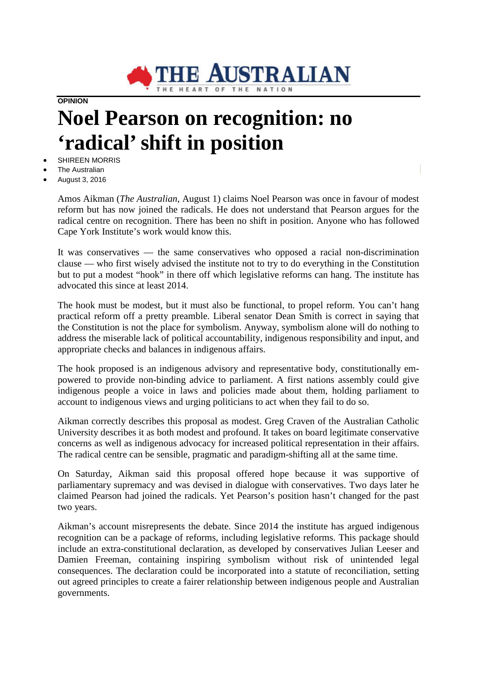

**OPINION**

## **Noel Pearson on recognition: no 'radical' shift in position**

- SHIREEN MORRIS
- The Australian
- August 3, 2016

Amos Aikman (*The Australian*, August 1) claims Noel Pearson was once in favour of modest reform but has now joined the radicals. He does not understand that Pearson argues for the radical centre on recognition. There has been no shift in position. Anyone who has followed Cape York Institute's work would know this.

It was conservatives — the same conservatives who opposed a racial non-discrimination clause — who first wisely advised the institute not to try to do everything in the Constitution but to put a modest "hook" in there off which legislative reforms can hang. The institute has advocated this since at least 2014.

The hook must be modest, but it must also be functional, to propel reform. You can't hang practical reform off a pretty preamble. Liberal senator Dean Smith is correct in saying that the Constitution is not the place for symbolism. Anyway, symbolism alone will do nothing to address the miserable lack of political accountability, indigenous responsibility and input, and appropriate checks and balances in indigenous affairs.

The hook proposed is an indigenous advisory and representative body, constitutionally empowered to provide non-binding advice to parliament. A first nations assembly could give indigenous people a voice in laws and policies made about them, holding parliament to account to indigenous views and urging politicians to act when they fail to do so.

Aikman correctly describes this proposal as modest. Greg Craven of the Australian Catholic University describes it as both modest and profound. It takes on board legitimate conservative concerns as well as indigenous advocacy for increased political representation in their affairs. The radical centre can be sensible, pragmatic and paradigm-shifting all at the same time.

On Saturday, Aikman said this proposal offered hope because it was supportive of parliamentary supremacy and was devised in dialogue with conservatives. Two days later he claimed Pearson had joined the radicals. Yet Pearson's position hasn't changed for the past two years.

Aikman's account misrepresents the debate. Since 2014 the institute has argued indigenous recognition can be a package of reforms, including legislative reforms. This package should include an extra-constitutional declaration, as developed by conservatives Julian Leeser and Damien Freeman, containing inspiring symbolism without risk of unintended legal consequences. The declaration could be incorporated into a statute of reconciliation, setting out agreed principles to create a fairer relationship between indigenous people and Australian governments.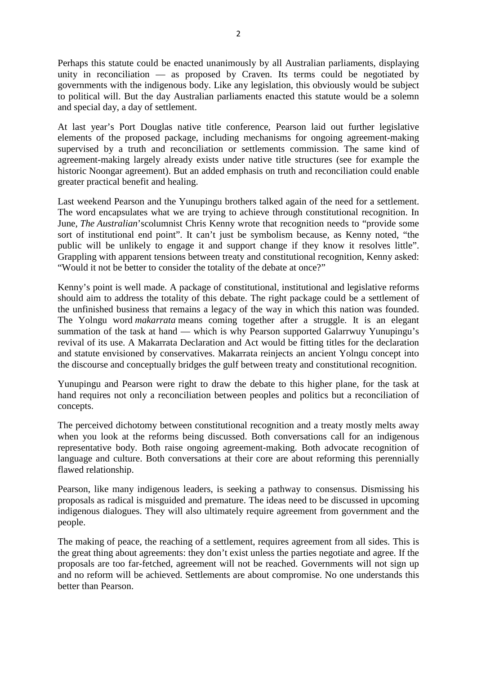Perhaps this statute could be enacted unanimously by all Australian parliaments, displaying unity in reconciliation — as proposed by Craven. Its terms could be negotiated by governments with the indigenous body. Like any legislation, this obviously would be subject to political will. But the day Australian parliaments enacted this statute would be a solemn and special day, a day of settlement.

At last year's Port Douglas native title conference, Pearson laid out further legislative elements of the proposed package, including mechanisms for ongoing agreement-making supervised by a truth and reconciliation or settlements commission. The same kind of agreement-making largely already exists under native title structures (see for example the historic Noongar agreement). But an added emphasis on truth and reconciliation could enable greater practical benefit and healing.

Last weekend Pearson and the Yunupingu brothers talked again of the need for a settlement. The word encapsulates what we are trying to achieve through constitutional recognition. In June, *The Australian*'scolumnist Chris Kenny wrote that recognition needs to "provide some sort of institutional end point". It can't just be symbolism because, as Kenny noted, "the public will be unlikely to engage it and support change if they know it resolves little". Grappling with apparent tensions between treaty and constitutional recognition, Kenny asked: "Would it not be better to consider the totality of the debate at once?"

Kenny's point is well made. A package of constitutional, institutional and legislative reforms should aim to address the totality of this debate. The right package could be a settlement of the unfinished business that remains a legacy of the way in which this nation was founded. The Yolngu word *makarrata* means coming together after a struggle. It is an elegant summation of the task at hand — which is why Pearson supported Galarrwuy Yunupingu's revival of its use. A Makarrata Declaration and Act would be fitting titles for the declaration and statute envisioned by conservatives. Makarrata reinjects an ancient Yolngu concept into the discourse and conceptually bridges the gulf between treaty and constitutional recognition.

Yunupingu and Pearson were right to draw the debate to this higher plane, for the task at hand requires not only a reconciliation between peoples and politics but a reconciliation of concepts.

The perceived dichotomy between constitutional recognition and a treaty mostly melts away when you look at the reforms being discussed. Both conversations call for an indigenous representative body. Both raise ongoing agreement-making. Both advocate recognition of language and culture. Both conversations at their core are about reforming this perennially flawed relationship.

Pearson, like many indigenous leaders, is seeking a pathway to consensus. Dismissing his proposals as radical is misguided and premature. The ideas need to be discussed in upcoming indigenous dialogues. They will also ultimately require agreement from government and the people.

The making of peace, the reaching of a settlement, requires agreement from all sides. This is the great thing about agreements: they don't exist unless the parties negotiate and agree. If the proposals are too far-fetched, agreement will not be reached. Governments will not sign up and no reform will be achieved. Settlements are about compromise. No one understands this better than Pearson.